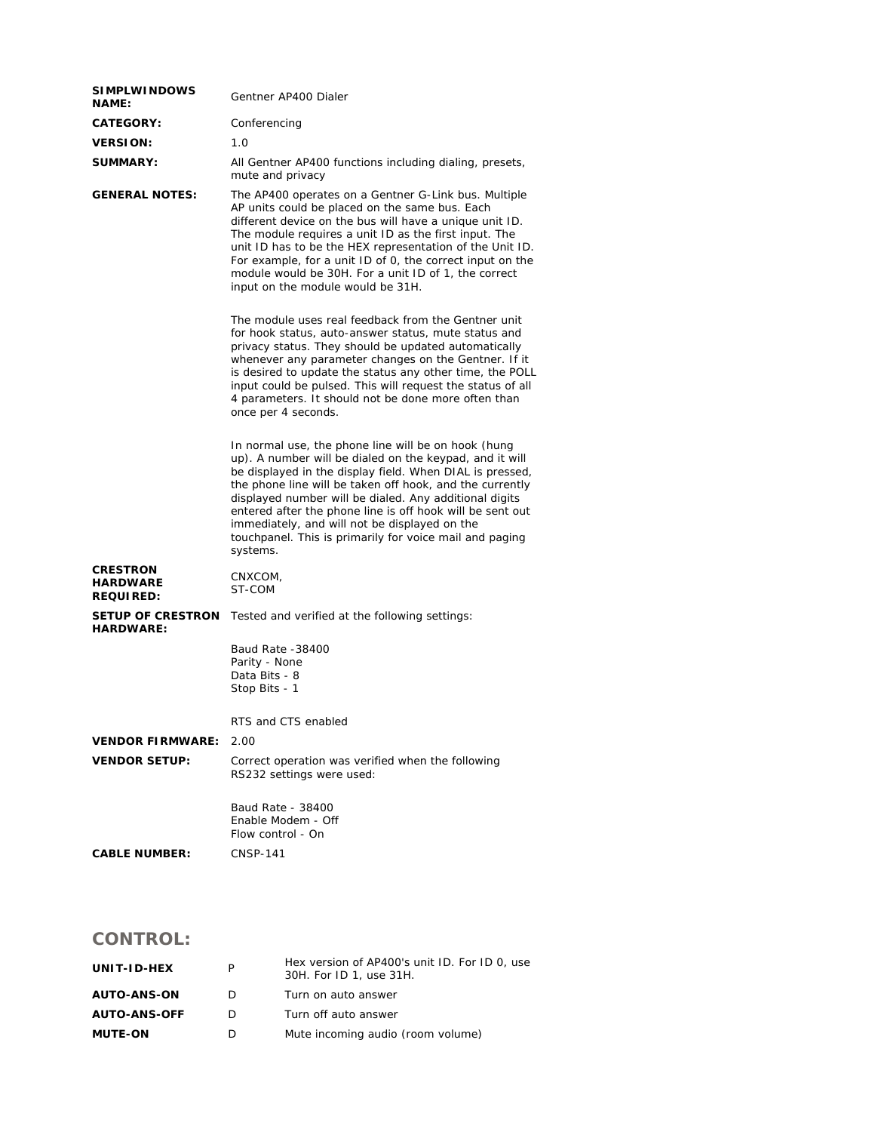| <b>SIMPLWINDOWS</b><br><b>NAME:</b>             | Gentner AP400 Dialer                                                                                                                                                                                                                                                                                                                                                                                                                                                                  |  |  |
|-------------------------------------------------|---------------------------------------------------------------------------------------------------------------------------------------------------------------------------------------------------------------------------------------------------------------------------------------------------------------------------------------------------------------------------------------------------------------------------------------------------------------------------------------|--|--|
| <b>CATEGORY:</b>                                | Conferencing                                                                                                                                                                                                                                                                                                                                                                                                                                                                          |  |  |
| <b>VERSION:</b>                                 | 1.0                                                                                                                                                                                                                                                                                                                                                                                                                                                                                   |  |  |
| <b>SUMMARY:</b>                                 | All Gentner AP400 functions including dialing, presets,<br>mute and privacy                                                                                                                                                                                                                                                                                                                                                                                                           |  |  |
| <b>GENERAL NOTES:</b>                           | The AP400 operates on a Gentner G-Link bus. Multiple<br>AP units could be placed on the same bus. Each<br>different device on the bus will have a unique unit ID.<br>The module requires a unit ID as the first input. The<br>unit ID has to be the HEX representation of the Unit ID.<br>For example, for a unit ID of 0, the correct input on the<br>module would be 30H. For a unit ID of 1, the correct<br>input on the module would be 31H.                                      |  |  |
|                                                 | The module uses real feedback from the Gentner unit<br>for hook status, auto-answer status, mute status and<br>privacy status. They should be updated automatically<br>whenever any parameter changes on the Gentner. If it<br>is desired to update the status any other time, the POLL<br>input could be pulsed. This will request the status of all<br>4 parameters. It should not be done more often than<br>once per 4 seconds.                                                   |  |  |
|                                                 | In normal use, the phone line will be on hook (hung<br>up). A number will be dialed on the keypad, and it will<br>be displayed in the display field. When DIAL is pressed,<br>the phone line will be taken off hook, and the currently<br>displayed number will be dialed. Any additional digits<br>entered after the phone line is off hook will be sent out<br>immediately, and will not be displayed on the<br>touchpanel. This is primarily for voice mail and paging<br>systems. |  |  |
| <b>CRESTRON</b><br>HARDWARE<br><b>REQUIRED:</b> | CNXCOM,<br>ST-COM                                                                                                                                                                                                                                                                                                                                                                                                                                                                     |  |  |
| <b>SETUP OF CRESTRON</b><br><b>HARDWARE:</b>    | Tested and verified at the following settings:                                                                                                                                                                                                                                                                                                                                                                                                                                        |  |  |
|                                                 | Baud Rate -38400<br>Parity - None<br>Data Bits - 8<br>Stop Bits - 1                                                                                                                                                                                                                                                                                                                                                                                                                   |  |  |
|                                                 | RTS and CTS enabled                                                                                                                                                                                                                                                                                                                                                                                                                                                                   |  |  |
| <b>VENDOR FIRMWARE:</b>                         | 2.00                                                                                                                                                                                                                                                                                                                                                                                                                                                                                  |  |  |
| <b>VENDOR SETUP:</b>                            | Correct operation was verified when the following<br>RS232 settings were used:                                                                                                                                                                                                                                                                                                                                                                                                        |  |  |
|                                                 | Baud Rate - 38400<br>Enable Modem - Off<br>Flow control - On                                                                                                                                                                                                                                                                                                                                                                                                                          |  |  |
| <b>CABLE NUMBER:</b>                            | CNSP-141                                                                                                                                                                                                                                                                                                                                                                                                                                                                              |  |  |

## **CONTROL:**

| UNIT-ID-HEX         | P | Hex version of AP400's unit ID. For ID 0, use<br>30H. For ID 1, use 31H. |
|---------------------|---|--------------------------------------------------------------------------|
| <b>AUTO-ANS-ON</b>  | D | Turn on auto answer                                                      |
| <b>AUTO-ANS-OFF</b> | D | Turn off auto answer                                                     |
| <b>MUTE-ON</b>      | D | Mute incoming audio (room volume)                                        |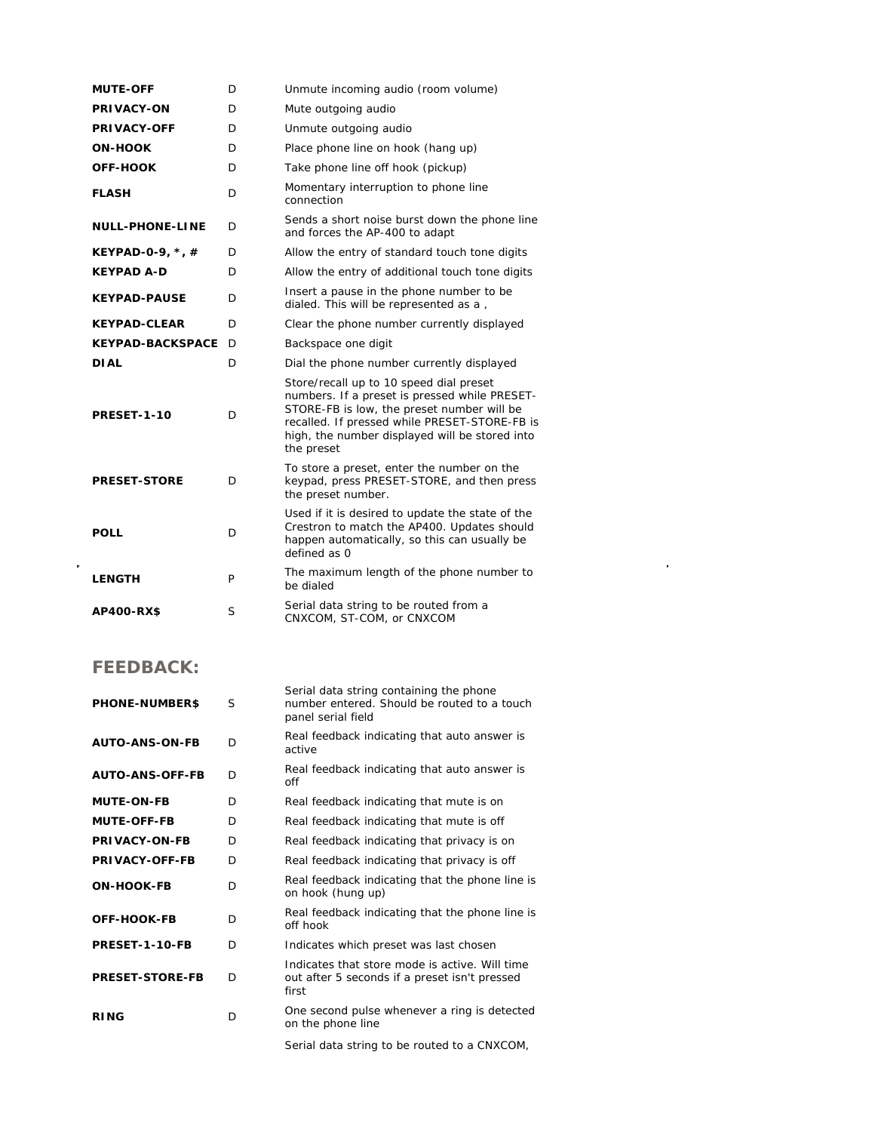| <b>MUTE-OFF</b>                      | D | Unmute incoming audio (room volume)                                                                                                                                                                                                       |
|--------------------------------------|---|-------------------------------------------------------------------------------------------------------------------------------------------------------------------------------------------------------------------------------------------|
| <b>PRIVACY-ON</b>                    | D | Mute outgoing audio                                                                                                                                                                                                                       |
| <b>PRIVACY-OFF</b>                   | D | Unmute outgoing audio                                                                                                                                                                                                                     |
| <b>ON-HOOK</b>                       | D | Place phone line on hook (hang up)                                                                                                                                                                                                        |
| <b>OFF-HOOK</b>                      | D | Take phone line off hook (pickup)                                                                                                                                                                                                         |
| <b>FLASH</b>                         | D | Momentary interruption to phone line<br>connection                                                                                                                                                                                        |
| <b>NULL-PHONE-LINE</b>               | D | Sends a short noise burst down the phone line<br>and forces the AP-400 to adapt                                                                                                                                                           |
| <b>KEYPAD-0-9, <math>*</math>, #</b> | D | Allow the entry of standard touch tone digits                                                                                                                                                                                             |
| <b>KEYPAD A-D</b>                    | D | Allow the entry of additional touch tone digits                                                                                                                                                                                           |
| <b>KEYPAD-PAUSE</b>                  | D | Insert a pause in the phone number to be.<br>dialed. This will be represented as a,                                                                                                                                                       |
| <b>KEYPAD-CLEAR</b>                  | D | Clear the phone number currently displayed                                                                                                                                                                                                |
| <b>KEYPAD-BACKSPACE</b>              | D | Backspace one digit                                                                                                                                                                                                                       |
| <b>DIAL</b>                          | D | Dial the phone number currently displayed                                                                                                                                                                                                 |
| PRESET-1-10                          | D | Store/recall up to 10 speed dial preset<br>numbers. If a preset is pressed while PRESET-<br>STORE-FB is low, the preset number will be<br>recalled. If pressed while PRESET-STORE-FB is<br>high, the number displayed will be stored into |
|                                      |   | the preset                                                                                                                                                                                                                                |
| <b>PRESET-STORE</b>                  | D | To store a preset, enter the number on the<br>keypad, press PRESET-STORE, and then press<br>the preset number.                                                                                                                            |
| <b>POLL</b>                          | D | Used if it is desired to update the state of the<br>Crestron to match the AP400. Updates should<br>happen automatically, so this can usually be<br>defined as 0                                                                           |
| <b>LENGTH</b>                        | P | The maximum length of the phone number to<br>be dialed                                                                                                                                                                                    |

## **FEEDBACK:**

| <b>PHONE-NUMBERS</b>   | S | Serial data string containing the phone<br>number entered. Should be routed to a touch<br>panel serial field |
|------------------------|---|--------------------------------------------------------------------------------------------------------------|
| <b>AUTO-ANS-ON-FB</b>  | D | Real feedback indicating that auto answer is<br>active                                                       |
| <b>AUTO-ANS-OFF-FB</b> | D | Real feedback indicating that auto answer is<br>off                                                          |
| <b>MUTE-ON-FB</b>      | D | Real feedback indicating that mute is on                                                                     |
| <b>MUTE-OFF-FB</b>     | D | Real feedback indicating that mute is off                                                                    |
| <b>PRIVACY-ON-FB</b>   | D | Real feedback indicating that privacy is on                                                                  |
| PRIVACY-OFF-FB         | D | Real feedback indicating that privacy is off                                                                 |
| <b>ON-HOOK-FB</b>      | D | Real feedback indicating that the phone line is<br>on hook (hung up)                                         |
| OFF-HOOK-FB            | D | Real feedback indicating that the phone line is<br>off hook                                                  |
| PRESET-1-10-FB         | D | Indicates which preset was last chosen                                                                       |
| <b>PRESET-STORE-FB</b> | D | Indicates that store mode is active. Will time<br>out after 5 seconds if a preset isn't pressed<br>first     |
| <b>RING</b>            | D | One second pulse whenever a ring is detected<br>on the phone line                                            |
|                        |   |                                                                                                              |

Serial data string to be routed to a CNXCOM,

 $\mathcal{L}^{\text{max}}_{\text{max}}$  and  $\mathcal{L}^{\text{max}}_{\text{max}}$